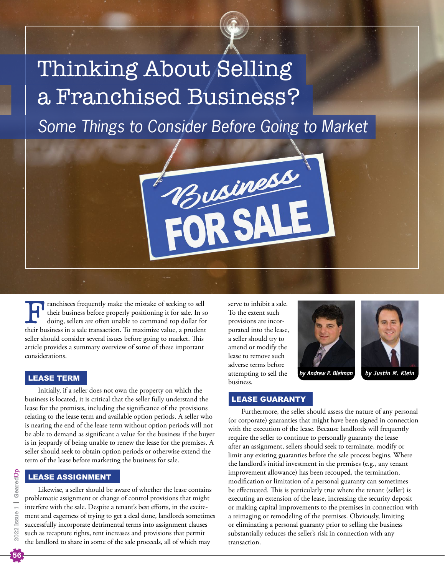# Thinking About Selling a Franchised Business?

*Some Things to Consider Before Going to Market*

Business

Franchisees frequently make the mistake of seeking to sell<br>their business before properly positioning it for sale. In se<br>doing, sellers are often unable to command top dollar for<br>their business in a sale transaction. To ma their business before properly positioning it for sale. In so doing, sellers are often unable to command top dollar for their business in a sale transaction. To maximize value, a prudent seller should consider several issues before going to market. This article provides a summary overview of some of these important considerations.

# LEASE TERM

Initially, if a seller does not own the property on which the business is located, it is critical that the seller fully understand the lease for the premises, including the significance of the provisions relating to the lease term and available option periods. A seller who is nearing the end of the lease term without option periods will not be able to demand as significant a value for the business if the buyer is in jeopardy of being unable to renew the lease for the premises. A seller should seek to obtain option periods or otherwise extend the term of the lease before marketing the business for sale.

# LEASE ASSIGNMENT

Likewise, a seller should be aware of whether the lease contains problematic assignment or change of control provisions that might interfere with the sale. Despite a tenant's best efforts, in the excitement and eagerness of trying to get a deal done, landlords sometimes successfully incorporate detrimental terms into assignment clauses such as recapture rights, rent increases and provisions that permit the landlord to share in some of the sale proceeds, all of which may

serve to inhibit a sale. To the extent such provisions are incorporated into the lease, a seller should try to amend or modify the lease to remove such adverse terms before attempting to sell the business.





*by Andrew P. Bleiman by Justin M. Klein*

# LEASE GUARANTY

Furthermore, the seller should assess the nature of any personal (or corporate) guaranties that might have been signed in connection with the execution of the lease. Because landlords will frequently require the seller to continue to personally guaranty the lease after an assignment, sellers should seek to terminate, modify or limit any existing guaranties before the sale process begins. Where the landlord's initial investment in the premises (e.g., any tenant improvement allowance) has been recouped, the termination, modification or limitation of a personal guaranty can sometimes be effectuated. This is particularly true where the tenant (seller) is executing an extension of the lease, increasing the security deposit or making capital improvements to the premises in connection with a reimaging or remodeling of the premises. Obviously, limiting or eliminating a personal guaranty prior to selling the business substantially reduces the seller's risk in connection with any transaction.